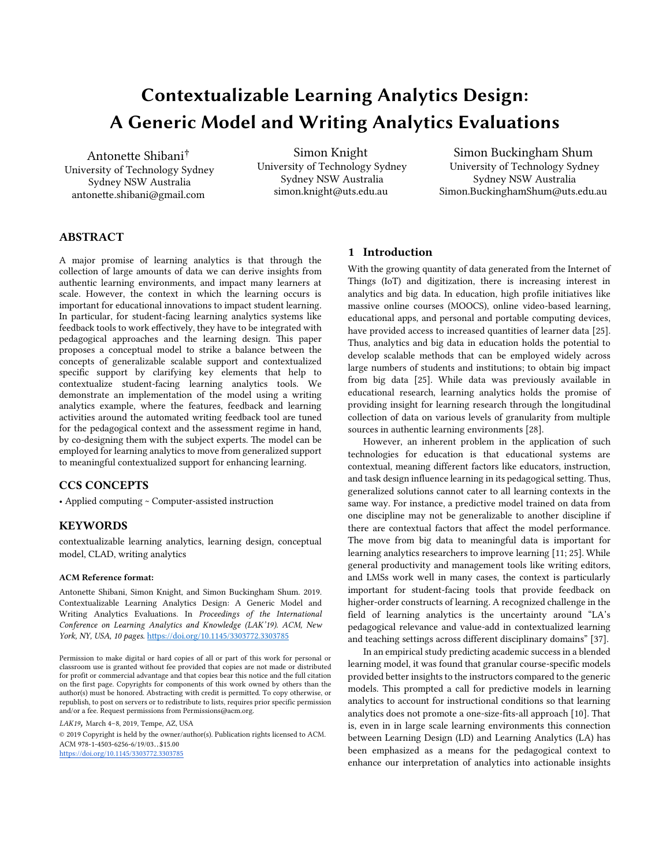# **Contextualizable Learning Analytics Design: A Generic Model and Writing Analytics Evaluations**

Antonette Shibani† University of Technology Sydney Sydney NSW Australia antonette.shibani@gmail.com

Simon Knight University of Technology Sydney Sydney NSW Australia simon.knight@uts.edu.au

Simon Buckingham Shum University of Technology Sydney Sydney NSW Australia Simon.BuckinghamShum@uts.edu.au

# **ABSTRACT**

A major promise of learning analytics is that through the collection of large amounts of data we can derive insights from authentic learning environments, and impact many learners at scale. However, the context in which the learning occurs is important for educational innovations to impact student learning. In particular, for student-facing learning analytics systems like feedback tools to work effectively, they have to be integrated with pedagogical approaches and the learning design. This paper proposes a conceptual model to strike a balance between the concepts of generalizable scalable support and contextualized specific support by clarifying key elements that help to contextualize student-facing learning analytics tools. We demonstrate an implementation of the model using a writing analytics example, where the features, feedback and learning activities around the automated writing feedback tool are tuned for the pedagogical context and the assessment regime in hand, by co-designing them with the subject experts. The model can be employed for learning analytics to move from generalized support to meaningful contextualized support for enhancing learning.

# **CCS CONCEPTS**

• Applied computing ~ Computer-assisted instruction

## **KEYWORDS**

contextualizable learning analytics, learning design, conceptual model, CLAD, writing analytics

## **ACM Reference format:**

Antonette Shibani, Simon Knight, and Simon Buckingham Shum. 2019. Contextualizable Learning Analytics Design: A Generic Model and Writing Analytics Evaluations. In *Proceedings of the International Conference on Learning Analytics and Knowledge (LAK'19). ACM, New York, NY, USA, 10 pages.* https://doi.org/10.1145/3303772.3303785

*LAK19,* March 4–8, 2019, Tempe, AZ, USA

© 2019 Copyright is held by the owner/author(s). Publication rights licensed to ACM. ACM 978-1-4503-6256-6/19/03…\$15.00 <https://doi.org/10.1145/3303772.3303785>

## **1 Introduction**

With the growing quantity of data generated from the Internet of Things (IoT) and digitization, there is increasing interest in analytics and big data. In education, high profile initiatives like massive online courses (MOOCS), online video-based learning, educational apps, and personal and portable computing devices, have provided access to increased quantities of learner data [25]. Thus, analytics and big data in education holds the potential to develop scalable methods that can be employed widely across large numbers of students and institutions; to obtain big impact from big data [25]. While data was previously available in educational research, learning analytics holds the promise of providing insight for learning research through the longitudinal collection of data on various levels of granularity from multiple sources in authentic learning environments [28].

However, an inherent problem in the application of such technologies for education is that educational systems are contextual, meaning different factors like educators, instruction, and task design influence learning in its pedagogical setting. Thus, generalized solutions cannot cater to all learning contexts in the same way. For instance, a predictive model trained on data from one discipline may not be generalizable to another discipline if there are contextual factors that affect the model performance. The move from big data to meaningful data is important for learning analytics researchers to improve learning [11; 25]. While general productivity and management tools like writing editors, and LMSs work well in many cases, the context is particularly important for student-facing tools that provide feedback on higher-order constructs of learning. A recognized challenge in the field of learning analytics is the uncertainty around "LA's pedagogical relevance and value-add in contextualized learning and teaching settings across different disciplinary domains" [37].

In an empirical study predicting academic success in a blended learning model, it was found that granular course-specific models provided better insights to the instructors compared to the generic models. This prompted a call for predictive models in learning analytics to account for instructional conditions so that learning analytics does not promote a one-size-fits-all approach [10]. That is, even in in large scale learning environments this connection between Learning Design (LD) and Learning Analytics (LA) has been emphasized as a means for the pedagogical context to enhance our interpretation of analytics into actionable insights

Permission to make digital or hard copies of all or part of this work for personal or classroom use is granted without fee provided that copies are not made or distributed for profit or commercial advantage and that copies bear this notice and the full citation on the first page. Copyrights for components of this work owned by others than the author(s) must be honored. Abstracting with credit is permitted. To copy otherwise, or republish, to post on servers or to redistribute to lists, requires prior specific permission and/or a fee. Request permissions from Permissions@acm.org.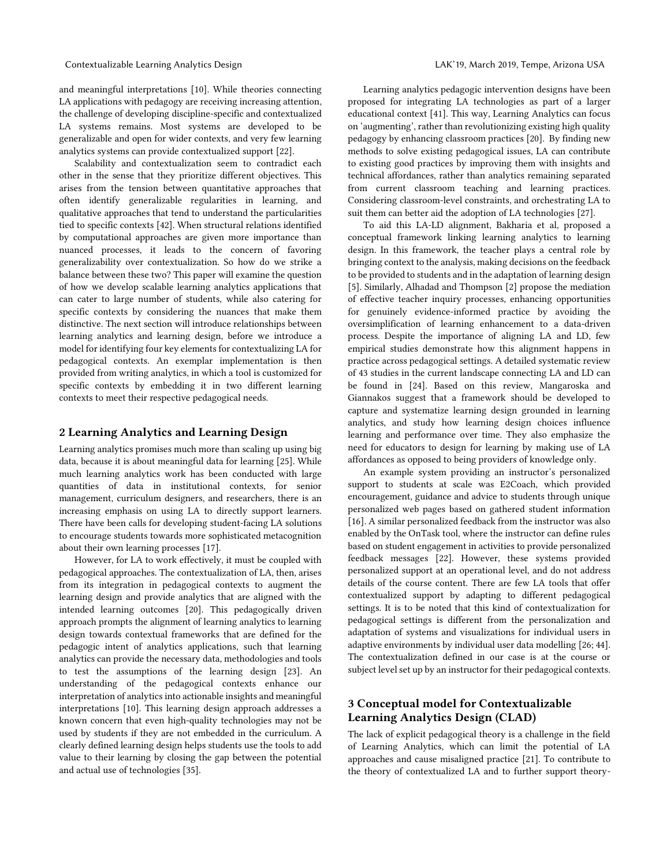and meaningful interpretations [10]. While theories connecting LA applications with pedagogy are receiving increasing attention, the challenge of developing discipline-specific and contextualized LA systems remains. Most systems are developed to be generalizable and open for wider contexts, and very few learning analytics systems can provide contextualized support [22].

Scalability and contextualization seem to contradict each other in the sense that they prioritize different objectives. This arises from the tension between quantitative approaches that often identify generalizable regularities in learning, and qualitative approaches that tend to understand the particularities tied to specific contexts [42]. When structural relations identified by computational approaches are given more importance than nuanced processes, it leads to the concern of favoring generalizability over contextualization. So how do we strike a balance between these two? This paper will examine the question of how we develop scalable learning analytics applications that can cater to large number of students, while also catering for specific contexts by considering the nuances that make them distinctive. The next section will introduce relationships between learning analytics and learning design, before we introduce a model for identifying four key elements for contextualizing LA for pedagogical contexts. An exemplar implementation is then provided from writing analytics, in which a tool is customized for specific contexts by embedding it in two different learning contexts to meet their respective pedagogical needs.

## **2 Learning Analytics and Learning Design**

Learning analytics promises much more than scaling up using big data, because it is about meaningful data for learning [25]. While much learning analytics work has been conducted with large quantities of data in institutional contexts, for senior management, curriculum designers, and researchers, there is an increasing emphasis on using LA to directly support learners. There have been calls for developing student-facing LA solutions to encourage students towards more sophisticated metacognition about their own learning processes [17].

However, for LA to work effectively, it must be coupled with pedagogical approaches. The contextualization of LA, then, arises from its integration in pedagogical contexts to augment the learning design and provide analytics that are aligned with the intended learning outcomes [20]. This pedagogically driven approach prompts the alignment of learning analytics to learning design towards contextual frameworks that are defined for the pedagogic intent of analytics applications, such that learning analytics can provide the necessary data, methodologies and tools to test the assumptions of the learning design [23]. An understanding of the pedagogical contexts enhance our interpretation of analytics into actionable insights and meaningful interpretations [10]. This learning design approach addresses a known concern that even high-quality technologies may not be used by students if they are not embedded in the curriculum. A clearly defined learning design helps students use the tools to add value to their learning by closing the gap between the potential and actual use of technologies [35].

Learning analytics pedagogic intervention designs have been proposed for integrating LA technologies as part of a larger educational context [41]. This way, Learning Analytics can focus on 'augmenting', rather than revolutionizing existing high quality pedagogy by enhancing classroom practices [20]. By finding new methods to solve existing pedagogical issues, LA can contribute to existing good practices by improving them with insights and technical affordances, rather than analytics remaining separated from current classroom teaching and learning practices. Considering classroom-level constraints, and orchestrating LA to suit them can better aid the adoption of LA technologies [27].

To aid this LA-LD alignment, Bakharia et al, proposed a conceptual framework linking learning analytics to learning design. In this framework, the teacher plays a central role by bringing context to the analysis, making decisions on the feedback to be provided to students and in the adaptation of learning design [5]. Similarly, Alhadad and Thompson [2] propose the mediation of effective teacher inquiry processes, enhancing opportunities for genuinely evidence-informed practice by avoiding the oversimplification of learning enhancement to a data-driven process. Despite the importance of aligning LA and LD, few empirical studies demonstrate how this alignment happens in practice across pedagogical settings. A detailed systematic review of 43 studies in the current landscape connecting LA and LD can be found in [24]. Based on this review, Mangaroska and Giannakos suggest that a framework should be developed to capture and systematize learning design grounded in learning analytics, and study how learning design choices influence learning and performance over time. They also emphasize the need for educators to design for learning by making use of LA affordances as opposed to being providers of knowledge only.

An example system providing an instructor's personalized support to students at scale was E2Coach, which provided encouragement, guidance and advice to students through unique personalized web pages based on gathered student information [16]. A similar personalized feedback from the instructor was also enabled by the OnTask tool, where the instructor can define rules based on student engagement in activities to provide personalized feedback messages [22]. However, these systems provided personalized support at an operational level, and do not address details of the course content. There are few LA tools that offer contextualized support by adapting to different pedagogical settings. It is to be noted that this kind of contextualization for pedagogical settings is different from the personalization and adaptation of systems and visualizations for individual users in adaptive environments by individual user data modelling [26; 44]. The contextualization defined in our case is at the course or subject level set up by an instructor for their pedagogical contexts.

# **3 Conceptual model for Contextualizable Learning Analytics Design (CLAD)**

The lack of explicit pedagogical theory is a challenge in the field of Learning Analytics, which can limit the potential of LA approaches and cause misaligned practice [21]. To contribute to the theory of contextualized LA and to further support theory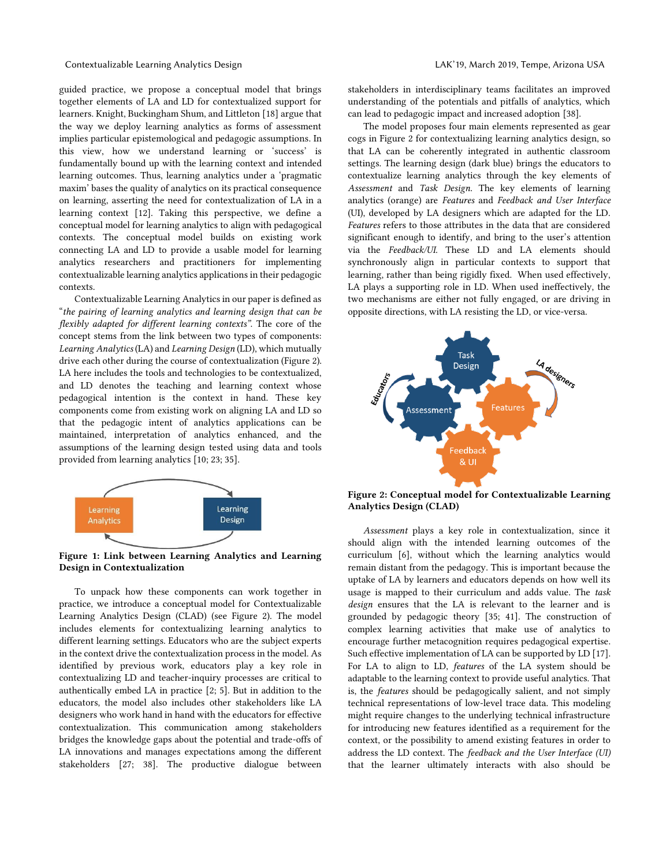guided practice, we propose a conceptual model that brings together elements of LA and LD for contextualized support for learners. Knight, Buckingham Shum, and Littleton [18] argue that the way we deploy learning analytics as forms of assessment implies particular epistemological and pedagogic assumptions. In this view, how we understand learning or 'success' is fundamentally bound up with the learning context and intended learning outcomes. Thus, learning analytics under a 'pragmatic maxim' bases the quality of analytics on its practical consequence on learning, asserting the need for contextualization of LA in a learning context [12]. Taking this perspective, we define a conceptual model for learning analytics to align with pedagogical contexts. The conceptual model builds on existing work connecting LA and LD to provide a usable model for learning analytics researchers and practitioners for implementing contextualizable learning analytics applications in their pedagogic contexts.

Contextualizable Learning Analytics in our paper is defined as "*the pairing of learning analytics and learning design that can be flexibly adapted for different learning contexts"*. The core of the concept stems from the link between two types of components: *Learning Analytics* (LA) and *Learning Design* (LD), which mutually drive each other during the course of contextualization (Figure 2). LA here includes the tools and technologies to be contextualized, and LD denotes the teaching and learning context whose pedagogical intention is the context in hand. These key components come from existing work on aligning LA and LD so that the pedagogic intent of analytics applications can be maintained, interpretation of analytics enhanced, and the assumptions of the learning design tested using data and tools provided from learning analytics [10; 23; 35].



**Figure 1: Link between Learning Analytics and Learning Design in Contextualization**

To unpack how these components can work together in practice, we introduce a conceptual model for Contextualizable Learning Analytics Design (CLAD) (see Figure 2). The model includes elements for contextualizing learning analytics to different learning settings. Educators who are the subject experts in the context drive the contextualization process in the model. As identified by previous work, educators play a key role in contextualizing LD and teacher-inquiry processes are critical to authentically embed LA in practice [2; 5]. But in addition to the educators, the model also includes other stakeholders like LA designers who work hand in hand with the educators for effective contextualization. This communication among stakeholders bridges the knowledge gaps about the potential and trade-offs of LA innovations and manages expectations among the different stakeholders [27; 38]. The productive dialogue between

stakeholders in interdisciplinary teams facilitates an improved understanding of the potentials and pitfalls of analytics, which can lead to pedagogic impact and increased adoption [38].

The model proposes four main elements represented as gear cogs in Figure 2 for contextualizing learning analytics design, so that LA can be coherently integrated in authentic classroom settings. The learning design (dark blue) brings the educators to contextualize learning analytics through the key elements of *Assessment* and *Task Design*. The key elements of learning analytics (orange) are *Features* and *Feedback and User Interface* (UI), developed by LA designers which are adapted for the LD. *Features* refers to those attributes in the data that are considered significant enough to identify, and bring to the user's attention via the *Feedback/UI.* These LD and LA elements should synchronously align in particular contexts to support that learning, rather than being rigidly fixed. When used effectively, LA plays a supporting role in LD. When used ineffectively, the two mechanisms are either not fully engaged, or are driving in opposite directions, with LA resisting the LD, or vice-versa.



**Figure 2: Conceptual model for Contextualizable Learning Analytics Design (CLAD)**

*Assessment* plays a key role in contextualization, since it should align with the intended learning outcomes of the curriculum [6], without which the learning analytics would remain distant from the pedagogy. This is important because the uptake of LA by learners and educators depends on how well its usage is mapped to their curriculum and adds value. The *task design* ensures that the LA is relevant to the learner and is grounded by pedagogic theory [35; 41]. The construction of complex learning activities that make use of analytics to encourage further metacognition requires pedagogical expertise. Such effective implementation of LA can be supported by LD [17]. For LA to align to LD, *features* of the LA system should be adaptable to the learning context to provide useful analytics. That is, the *features* should be pedagogically salient, and not simply technical representations of low-level trace data. This modeling might require changes to the underlying technical infrastructure for introducing new features identified as a requirement for the context, or the possibility to amend existing features in order to address the LD context. The *feedback and the User Interface (UI)* that the learner ultimately interacts with also should be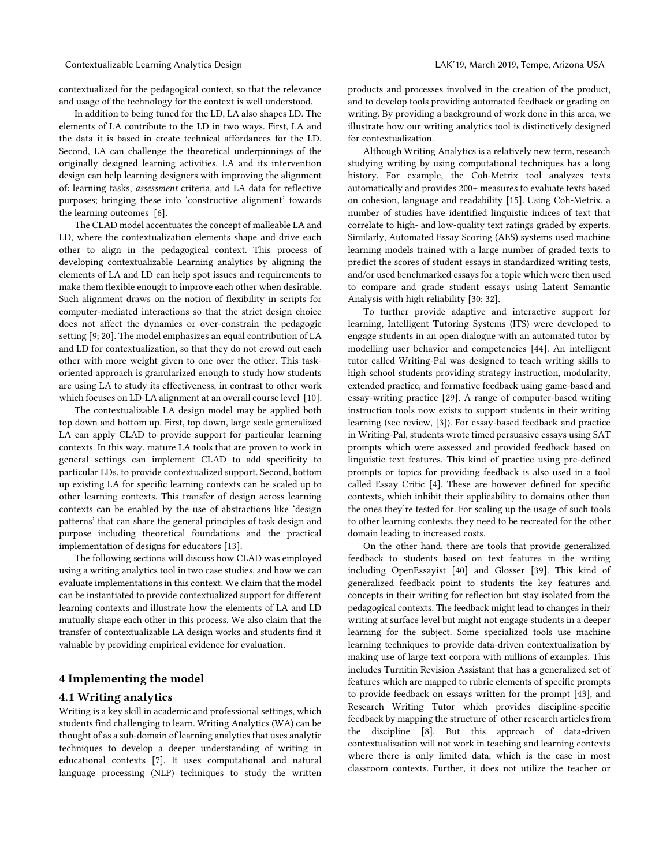contextualized for the pedagogical context, so that the relevance and usage of the technology for the context is well understood.

In addition to being tuned for the LD, LA also shapes LD. The elements of LA contribute to the LD in two ways. First, LA and the data it is based in create technical affordances for the LD. Second, LA can challenge the theoretical underpinnings of the originally designed learning activities. LA and its intervention design can help learning designers with improving the alignment of: learning tasks, *assessment* criteria, and LA data for reflective purposes; bringing these into 'constructive alignment' towards the learning outcomes [6].

The CLAD model accentuates the concept of malleable LA and LD, where the contextualization elements shape and drive each other to align in the pedagogical context. This process of developing contextualizable Learning analytics by aligning the elements of LA and LD can help spot issues and requirements to make them flexible enough to improve each other when desirable. Such alignment draws on the notion of flexibility in scripts for computer-mediated interactions so that the strict design choice does not affect the dynamics or over-constrain the pedagogic setting [9; 20]. The model emphasizes an equal contribution of LA and LD for contextualization, so that they do not crowd out each other with more weight given to one over the other. This taskoriented approach is granularized enough to study how students are using LA to study its effectiveness, in contrast to other work which focuses on LD-LA alignment at an overall course level [10].

The contextualizable LA design model may be applied both top down and bottom up. First, top down, large scale generalized LA can apply CLAD to provide support for particular learning contexts. In this way, mature LA tools that are proven to work in general settings can implement CLAD to add specificity to particular LDs, to provide contextualized support. Second, bottom up existing LA for specific learning contexts can be scaled up to other learning contexts. This transfer of design across learning contexts can be enabled by the use of abstractions like 'design patterns' that can share the general principles of task design and purpose including theoretical foundations and the practical implementation of designs for educators [13].

The following sections will discuss how CLAD was employed using a writing analytics tool in two case studies, and how we can evaluate implementations in this context. We claim that the model can be instantiated to provide contextualized support for different learning contexts and illustrate how the elements of LA and LD mutually shape each other in this process. We also claim that the transfer of contextualizable LA design works and students find it valuable by providing empirical evidence for evaluation.

## **4 Implementing the model**

## **4.1 Writing analytics**

Writing is a key skill in academic and professional settings, which students find challenging to learn. Writing Analytics (WA) can be thought of as a sub-domain of learning analytics that uses analytic techniques to develop a deeper understanding of writing in educational contexts [7]. It uses computational and natural language processing (NLP) techniques to study the written products and processes involved in the creation of the product, and to develop tools providing automated feedback or grading on writing. By providing a background of work done in this area, we illustrate how our writing analytics tool is distinctively designed for contextualization.

Although Writing Analytics is a relatively new term, research studying writing by using computational techniques has a long history. For example, the Coh-Metrix tool analyzes texts automatically and provides 200+ measures to evaluate texts based on cohesion, language and readability [15]. Using Coh-Metrix, a number of studies have identified linguistic indices of text that correlate to high- and low-quality text ratings graded by experts. Similarly, Automated Essay Scoring (AES) systems used machine learning models trained with a large number of graded texts to predict the scores of student essays in standardized writing tests, and/or used benchmarked essays for a topic which were then used to compare and grade student essays using Latent Semantic Analysis with high reliability [30; 32].

To further provide adaptive and interactive support for learning, Intelligent Tutoring Systems (ITS) were developed to engage students in an open dialogue with an automated tutor by modelling user behavior and competencies [44]. An intelligent tutor called Writing-Pal was designed to teach writing skills to high school students providing strategy instruction, modularity, extended practice, and formative feedback using game-based and essay-writing practice [29]. A range of computer-based writing instruction tools now exists to support students in their writing learning (see review, [3]). For essay-based feedback and practice in Writing-Pal, students wrote timed persuasive essays using SAT prompts which were assessed and provided feedback based on linguistic text features. This kind of practice using pre-defined prompts or topics for providing feedback is also used in a tool called Essay Critic [4]. These are however defined for specific contexts, which inhibit their applicability to domains other than the ones they're tested for. For scaling up the usage of such tools to other learning contexts, they need to be recreated for the other domain leading to increased costs.

On the other hand, there are tools that provide generalized feedback to students based on text features in the writing including OpenEssayist [40] and Glosser [39]. This kind of generalized feedback point to students the key features and concepts in their writing for reflection but stay isolated from the pedagogical contexts. The feedback might lead to changes in their writing at surface level but might not engage students in a deeper learning for the subject. Some specialized tools use machine learning techniques to provide data-driven contextualization by making use of large text corpora with millions of examples. This includes Turnitin Revision Assistant that has a generalized set of features which are mapped to rubric elements of specific prompts to provide feedback on essays written for the prompt [43], and Research Writing Tutor which provides discipline-specific feedback by mapping the structure of other research articles from the discipline [8]. But this approach of data-driven contextualization will not work in teaching and learning contexts where there is only limited data, which is the case in most classroom contexts. Further, it does not utilize the teacher or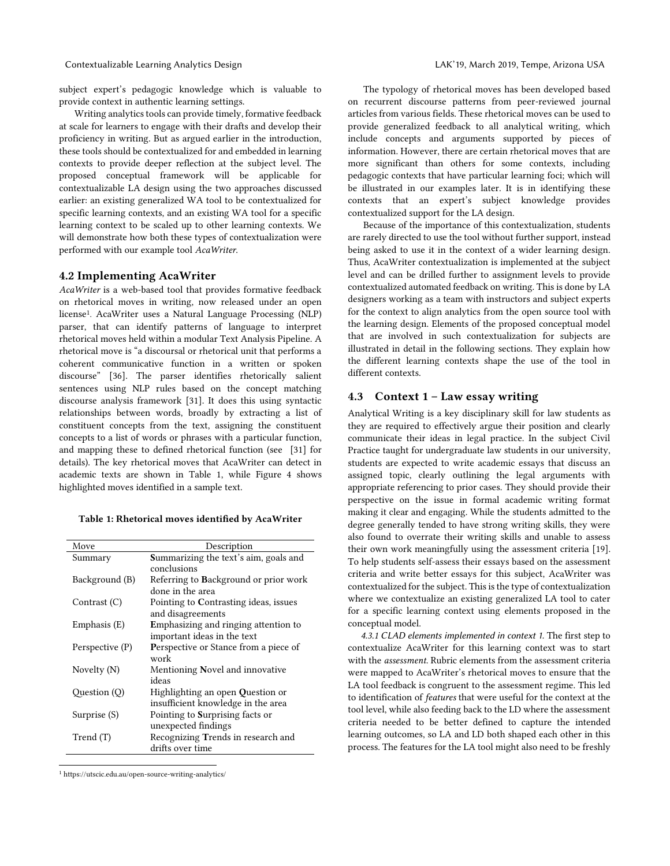subject expert's pedagogic knowledge which is valuable to provide context in authentic learning settings.

Writing analytics tools can provide timely, formative feedback at scale for learners to engage with their drafts and develop their proficiency in writing. But as argued earlier in the introduction, these tools should be contextualized for and embedded in learning contexts to provide deeper reflection at the subject level. The proposed conceptual framework will be applicable for contextualizable LA design using the two approaches discussed earlier: an existing generalized WA tool to be contextualized for specific learning contexts, and an existing WA tool for a specific learning context to be scaled up to other learning contexts. We will demonstrate how both these types of contextualization were performed with our example tool *AcaWriter*.

#### **4.2 Implementing AcaWriter**

*AcaWriter* is a web-based tool that provides formative feedback on rhetorical moves in writing, now released under an open license<sup>1</sup>. AcaWriter uses a Natural Language Processing (NLP) parser, that can identify patterns of language to interpret rhetorical moves held within a modular Text Analysis Pipeline. A rhetorical move is "a discoursal or rhetorical unit that performs a coherent communicative function in a written or spoken discourse" [36]. The parser identifies rhetorically salient sentences using NLP rules based on the concept matching discourse analysis framework [31]. It does this using syntactic relationships between words, broadly by extracting a list of constituent concepts from the text, assigning the constituent concepts to a list of words or phrases with a particular function, and mapping these to defined rhetorical function (see [31] for details). The key rhetorical moves that AcaWriter can detect in academic texts are shown in Table 1, while Figure 4 shows highlighted moves identified in a sample text.

#### **Table 1: Rhetorical moves identified by AcaWriter**

| Move            | Description                                  |  |
|-----------------|----------------------------------------------|--|
| Summary         | <b>Summarizing the text's aim, goals and</b> |  |
|                 | conclusions                                  |  |
| Background (B)  | Referring to Background or prior work        |  |
|                 | done in the area                             |  |
| Contrast (C)    | Pointing to Contrasting ideas, issues        |  |
|                 | and disagreements                            |  |
| Emphasis (E)    | Emphasizing and ringing attention to         |  |
|                 | important ideas in the text                  |  |
| Perspective (P) | <b>Perspective or Stance from a piece of</b> |  |
|                 | work                                         |  |
| Novelty (N)     | Mentioning Novel and innovative              |  |
|                 | ideas                                        |  |
| Question (Q)    | Highlighting an open Question or             |  |
|                 | insufficient knowledge in the area           |  |
| Surprise (S)    | Pointing to Surprising facts or              |  |
|                 | unexpected findings                          |  |
| Trend (T)       | Recognizing Trends in research and           |  |
|                 | drifts over time                             |  |
|                 |                                              |  |

<sup>1</sup> https://utscic.edu.au/open-source-writing-analytics/

The typology of rhetorical moves has been developed based on recurrent discourse patterns from peer-reviewed journal articles from various fields. These rhetorical moves can be used to provide generalized feedback to all analytical writing, which include concepts and arguments supported by pieces of information. However, there are certain rhetorical moves that are more significant than others for some contexts, including pedagogic contexts that have particular learning foci; which will be illustrated in our examples later. It is in identifying these contexts that an expert's subject knowledge provides contextualized support for the LA design.

Because of the importance of this contextualization, students are rarely directed to use the tool without further support, instead being asked to use it in the context of a wider learning design. Thus, AcaWriter contextualization is implemented at the subject level and can be drilled further to assignment levels to provide contextualized automated feedback on writing. This is done by LA designers working as a team with instructors and subject experts for the context to align analytics from the open source tool with the learning design. Elements of the proposed conceptual model that are involved in such contextualization for subjects are illustrated in detail in the following sections. They explain how the different learning contexts shape the use of the tool in different contexts.

# **4.3 Context 1 – Law essay writing**

Analytical Writing is a key disciplinary skill for law students as they are required to effectively argue their position and clearly communicate their ideas in legal practice. In the subject Civil Practice taught for undergraduate law students in our university, students are expected to write academic essays that discuss an assigned topic, clearly outlining the legal arguments with appropriate referencing to prior cases. They should provide their perspective on the issue in formal academic writing format making it clear and engaging. While the students admitted to the degree generally tended to have strong writing skills, they were also found to overrate their writing skills and unable to assess their own work meaningfully using the assessment criteria [19]. To help students self-assess their essays based on the assessment criteria and write better essays for this subject, AcaWriter was contextualized for the subject. This is the type of contextualization where we contextualize an existing generalized LA tool to cater for a specific learning context using elements proposed in the conceptual model.

*4.3.1 CLAD elements implemented in context 1.* The first step to contextualize AcaWriter for this learning context was to start with the *assessment*. Rubric elements from the assessment criteria were mapped to AcaWriter's rhetorical moves to ensure that the LA tool feedback is congruent to the assessment regime. This led to identification of *features* that were useful for the context at the tool level, while also feeding back to the LD where the assessment criteria needed to be better defined to capture the intended learning outcomes, so LA and LD both shaped each other in this process. The features for the LA tool might also need to be freshly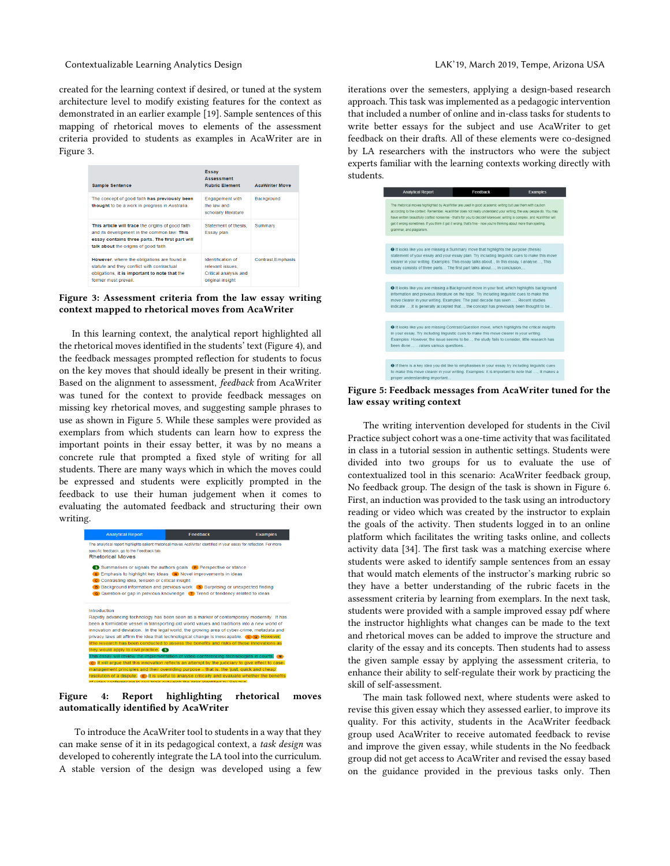Contextualizable Learning Analytics Design LAK'19, March 2019, Tempe, Arizona USA

created for the learning context if desired, or tuned at the system architecture level to modify existing features for the context as demonstrated in an earlier example [19]. Sample sentences of this mapping of rhetorical moves to elements of the assessment criteria provided to students as examples in AcaWriter are in Figure 3.

| <b>Sample Sentence</b>                                                                                                                                                                       | <b>Essay</b><br><b>Assessment</b><br><b>Rubric Flement</b>                         | <b>AcaWriter Move</b> |
|----------------------------------------------------------------------------------------------------------------------------------------------------------------------------------------------|------------------------------------------------------------------------------------|-----------------------|
| The concept of good faith has previously been<br>thought to be a work in progress in Australia.                                                                                              | <b>Engagement with</b><br>the law and<br>scholarly literature                      | <b>Background</b>     |
| This article will trace the origins of good faith<br>and its development in the common law. This<br>essay contains three parts. The first part will<br>talk about the origins of good faith. | Statement of thesis.<br>Essay plan                                                 | Summary               |
| However, where the obligations are found in<br>statute and they conflict with contractual<br>obligations, it is important to note that the<br>former must prevail.                           | Identification of<br>relevant issues.<br>Critical analysis and<br>original insight | Contrast.Emphasis     |



In this learning context, the analytical report highlighted all the rhetorical moves identified in the students' text (Figure 4), and the feedback messages prompted reflection for students to focus on the key moves that should ideally be present in their writing. Based on the alignment to assessment, *feedback* from AcaWriter was tuned for the context to provide feedback messages on missing key rhetorical moves, and suggesting sample phrases to use as shown in Figure 5. While these samples were provided as exemplars from which students can learn how to express the important points in their essay better, it was by no means a concrete rule that prompted a fixed style of writing for all students. There are many ways which in which the moves could be expressed and students were explicitly prompted in the feedback to use their human judgement when it comes to evaluating the automated feedback and structuring their own writing.



**Figure 4: Report highlighting rhetorical moves automatically identified by AcaWriter**

To introduce the AcaWriter tool to students in a way that they can make sense of it in its pedagogical context, a *task design* was developed to coherently integrate the LA tool into the curriculum. A stable version of the design was developed using a few iterations over the semesters, applying a design-based research approach. This task was implemented as a pedagogic intervention that included a number of online and in-class tasks for students to write better essays for the subject and use AcaWriter to get feedback on their drafts. All of these elements were co-designed by LA researchers with the instructors who were the subject experts familiar with the learning contexts working directly with students.



**Figure 5: Feedback messages from AcaWriter tuned for the law essay writing context**

The writing intervention developed for students in the Civil Practice subject cohort was a one-time activity that was facilitated in class in a tutorial session in authentic settings. Students were divided into two groups for us to evaluate the use of contextualized tool in this scenario: AcaWriter feedback group, No feedback group. The design of the task is shown in Figure 6. First, an induction was provided to the task using an introductory reading or video which was created by the instructor to explain the goals of the activity. Then students logged in to an online platform which facilitates the writing tasks online, and collects activity data [34]. The first task was a matching exercise where students were asked to identify sample sentences from an essay that would match elements of the instructor's marking rubric so they have a better understanding of the rubric facets in the assessment criteria by learning from exemplars. In the next task, students were provided with a sample improved essay pdf where the instructor highlights what changes can be made to the text and rhetorical moves can be added to improve the structure and clarity of the essay and its concepts. Then students had to assess the given sample essay by applying the assessment criteria, to enhance their ability to self-regulate their work by practicing the skill of self-assessment.

The main task followed next, where students were asked to revise this given essay which they assessed earlier, to improve its quality. For this activity, students in the AcaWriter feedback group used AcaWriter to receive automated feedback to revise and improve the given essay, while students in the No feedback group did not get access to AcaWriter and revised the essay based on the guidance provided in the previous tasks only. Then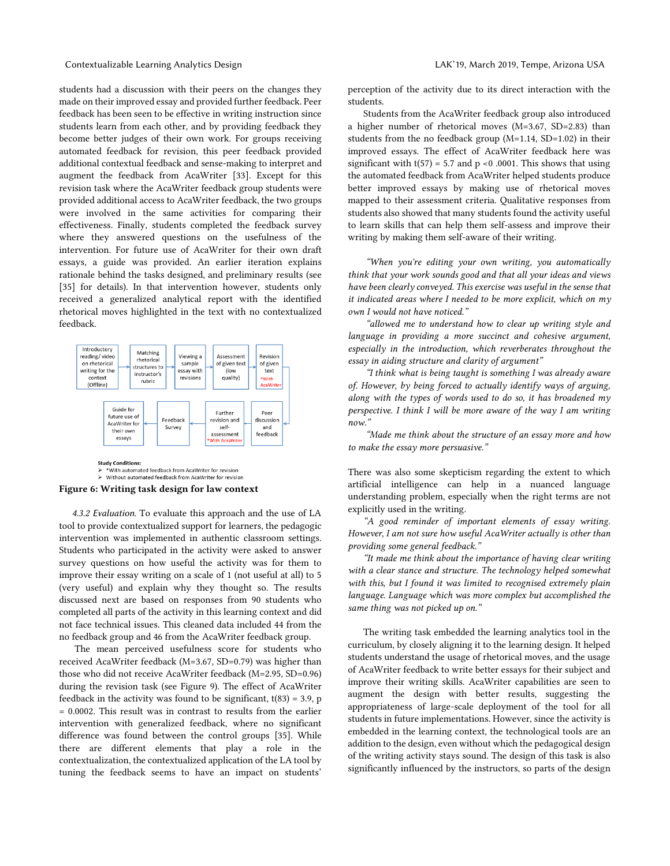#### Contextualizable Learning Analytics Design LAK'19, March 2019, Tempe, Arizona USA

students had a discussion with their peers on the changes they made on their improved essay and provided further feedback. Peer feedback has been seen to be effective in writing instruction since students learn from each other, and by providing feedback they become better judges of their own work. For groups receiving automated feedback for revision, this peer feedback provided additional contextual feedback and sense-making to interpret and augment the feedback from AcaWriter [33]. Except for this revision task where the AcaWriter feedback group students were provided additional access to AcaWriter feedback, the two groups were involved in the same activities for comparing their effectiveness. Finally, students completed the feedback survey where they answered questions on the usefulness of the intervention. For future use of AcaWriter for their own draft essays, a guide was provided. An earlier iteration explains rationale behind the tasks designed, and preliminary results (see [35] for details). In that intervention however, students only received a generalized analytical report with the identified rhetorical moves highlighted in the text with no contextualized feedback.



→ \* With automated feedback from AcaWriter for revision<br>→ \* Without automated feedback from AcaWriter for revision

#### **Figure 6: Writing task design for law context**

*4.3.2 Evaluation.* To evaluate this approach and the use of LA tool to provide contextualized support for learners, the pedagogic intervention was implemented in authentic classroom settings. Students who participated in the activity were asked to answer survey questions on how useful the activity was for them to improve their essay writing on a scale of 1 (not useful at all) to 5 (very useful) and explain why they thought so. The results discussed next are based on responses from 90 students who completed all parts of the activity in this learning context and did not face technical issues. This cleaned data included 44 from the no feedback group and 46 from the AcaWriter feedback group.

The mean perceived usefulness score for students who received AcaWriter feedback (M=3.67, SD=0.79) was higher than those who did not receive AcaWriter feedback (M=2.95, SD=0.96) during the revision task (see Figure 9). The effect of AcaWriter feedback in the activity was found to be significant,  $t(83) = 3.9$ , p = 0.0002. This result was in contrast to results from the earlier intervention with generalized feedback, where no significant difference was found between the control groups [35]. While there are different elements that play a role in the contextualization, the contextualized application of the LA tool by tuning the feedback seems to have an impact on students'

perception of the activity due to its direct interaction with the students.

Students from the AcaWriter feedback group also introduced a higher number of rhetorical moves (M=3.67, SD=2.83) than students from the no feedback group (M=1.14, SD=1.02) in their improved essays. The effect of AcaWriter feedback here was significant with  $t(57) = 5.7$  and  $p \le 0.0001$ . This shows that using the automated feedback from AcaWriter helped students produce better improved essays by making use of rhetorical moves mapped to their assessment criteria. Qualitative responses from students also showed that many students found the activity useful to learn skills that can help them self-assess and improve their writing by making them self-aware of their writing.

*"When you're editing your own writing, you automatically think that your work sounds good and that all your ideas and views have been clearly conveyed. This exercise was useful in the sense that it indicated areas where I needed to be more explicit, which on my own I would not have noticed."* 

*"allowed me to understand how to clear up writing style and*  language in providing a more succinct and cohesive argument, *especially in the introduction, which reverberates throughout the essay in aiding structure and clarity of argument"*

*"I think what is being taught is something I was already aware of. However, by being forced to actually identify ways of arguing, along with the types of words used to do so, it has broadened my perspective. I think I will be more aware of the way I am writing now."*

*"Made me think about the structure of an essay more and how to make the essay more persuasive."*

There was also some skepticism regarding the extent to which artificial intelligence can help in a nuanced language understanding problem, especially when the right terms are not explicitly used in the writing.

*"A good reminder of important elements of essay writing. However, I am not sure how useful AcaWriter actually is other than providing some general feedback."*

*"It made me think about the importance of having clear writing with a clear stance and structure. The technology helped somewhat with this, but I found it was limited to recognised extremely plain language. Language which was more complex but accomplished the same thing was not picked up on."* 

The writing task embedded the learning analytics tool in the curriculum, by closely aligning it to the learning design. It helped students understand the usage of rhetorical moves, and the usage of AcaWriter feedback to write better essays for their subject and improve their writing skills. AcaWriter capabilities are seen to augment the design with better results, suggesting the appropriateness of large-scale deployment of the tool for all students in future implementations. However, since the activity is embedded in the learning context, the technological tools are an addition to the design, even without which the pedagogical design of the writing activity stays sound. The design of this task is also significantly influenced by the instructors, so parts of the design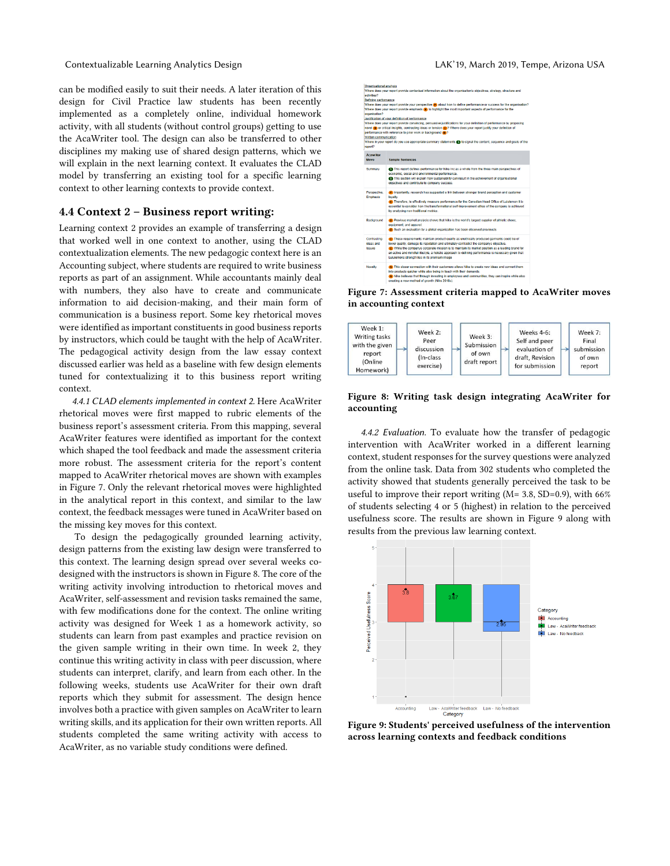#### Contextualizable Learning Analytics Design LAK'19, March 2019, Tempe, Arizona USA

can be modified easily to suit their needs. A later iteration of this design for Civil Practice law students has been recently implemented as a completely online, individual homework activity, with all students (without control groups) getting to use the AcaWriter tool. The design can also be transferred to other disciplines my making use of shared design patterns, which we will explain in the next learning context. It evaluates the CLAD model by transferring an existing tool for a specific learning context to other learning contexts to provide context.

#### **4.4 Context 2 – Business report writing:**

Learning context 2 provides an example of transferring a design that worked well in one context to another, using the CLAD contextualization elements. The new pedagogic context here is an Accounting subject, where students are required to write business reports as part of an assignment. While accountants mainly deal with numbers, they also have to create and communicate information to aid decision-making, and their main form of communication is a business report. Some key rhetorical moves were identified as important constituents in good business reports by instructors, which could be taught with the help of AcaWriter. The pedagogical activity design from the law essay context discussed earlier was held as a baseline with few design elements tuned for contextualizing it to this business report writing context.

*4.4.1 CLAD elements implemented in context 2.* Here AcaWriter rhetorical moves were first mapped to rubric elements of the business report's assessment criteria. From this mapping, several AcaWriter features were identified as important for the context which shaped the tool feedback and made the assessment criteria more robust. The assessment criteria for the report's content mapped to AcaWriter rhetorical moves are shown with examples in Figure 7. Only the relevant rhetorical moves were highlighted in the analytical report in this context, and similar to the law context, the feedback messages were tuned in AcaWriter based on the missing key moves for this context.

To design the pedagogically grounded learning activity, design patterns from the existing law design were transferred to this context. The learning design spread over several weeks codesigned with the instructors is shown in Figure 8. The core of the writing activity involving introduction to rhetorical moves and AcaWriter, self-assessment and revision tasks remained the same, with few modifications done for the context. The online writing activity was designed for Week 1 as a homework activity, so students can learn from past examples and practice revision on the given sample writing in their own time. In week 2, they continue this writing activity in class with peer discussion, where students can interpret, clarify, and learn from each other. In the following weeks, students use AcaWriter for their own draft reports which they submit for assessment. The design hence involves both a practice with given samples on AcaWriter to learn writing skills, and its application for their own written reports. All students completed the same writing activity with access to AcaWriter, as no variable study conditions were defined.



**Figure 7: Assessment criteria mapped to AcaWriter moves in accounting context**



## **Figure 8: Writing task design integrating AcaWriter for accounting**

*4.4.2 Evaluation.* To evaluate how the transfer of pedagogic intervention with AcaWriter worked in a different learning context, student responses for the survey questions were analyzed from the online task. Data from 302 students who completed the activity showed that students generally perceived the task to be useful to improve their report writing (M= 3.8, SD=0.9), with 66% of students selecting 4 or 5 (highest) in relation to the perceived usefulness score. The results are shown in Figure 9 along with results from the previous law learning context.



**Figure 9: Students' perceived usefulness of the intervention across learning contexts and feedback conditions**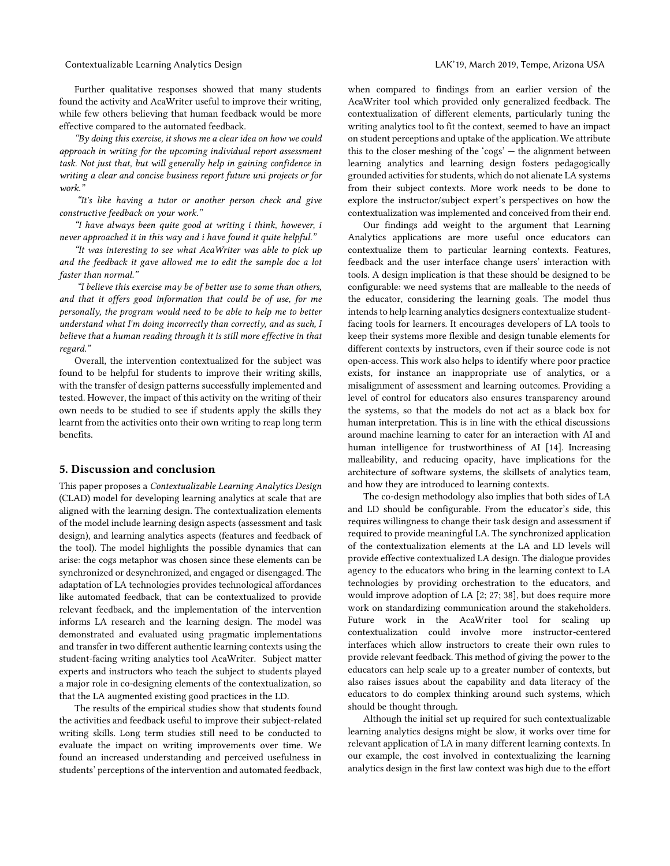Further qualitative responses showed that many students found the activity and AcaWriter useful to improve their writing, while few others believing that human feedback would be more effective compared to the automated feedback.

*"By doing this exercise, it shows me a clear idea on how we could approach in writing for the upcoming individual report assessment task. Not just that, but will generally help in gaining confidence in writing a clear and concise business report future uni projects or for work."*

*"It's like having a tutor or another person check and give constructive feedback on your work."*

*"I have always been quite good at writing i think, however, i never approached it in this way and i have found it quite helpful."*

*"It was interesting to see what AcaWriter was able to pick up and the feedback it gave allowed me to edit the sample doc a lot faster than normal."*

*"I believe this exercise may be of better use to some than others, and that it offers good information that could be of use, for me personally, the program would need to be able to help me to better understand what I'm doing incorrectly than correctly, and as such, I believe that a human reading through it is still more effective in that regard."*

Overall, the intervention contextualized for the subject was found to be helpful for students to improve their writing skills, with the transfer of design patterns successfully implemented and tested. However, the impact of this activity on the writing of their own needs to be studied to see if students apply the skills they learnt from the activities onto their own writing to reap long term benefits.

## **5. Discussion and conclusion**

This paper proposes a *Contextualizable Learning Analytics Design* (CLAD) model for developing learning analytics at scale that are aligned with the learning design. The contextualization elements of the model include learning design aspects (assessment and task design), and learning analytics aspects (features and feedback of the tool). The model highlights the possible dynamics that can arise: the cogs metaphor was chosen since these elements can be synchronized or desynchronized, and engaged or disengaged. The adaptation of LA technologies provides technological affordances like automated feedback, that can be contextualized to provide relevant feedback, and the implementation of the intervention informs LA research and the learning design. The model was demonstrated and evaluated using pragmatic implementations and transfer in two different authentic learning contexts using the student-facing writing analytics tool AcaWriter. Subject matter experts and instructors who teach the subject to students played a major role in co-designing elements of the contextualization, so that the LA augmented existing good practices in the LD.

The results of the empirical studies show that students found the activities and feedback useful to improve their subject-related writing skills. Long term studies still need to be conducted to evaluate the impact on writing improvements over time. We found an increased understanding and perceived usefulness in students' perceptions of the intervention and automated feedback,

when compared to findings from an earlier version of the AcaWriter tool which provided only generalized feedback. The contextualization of different elements, particularly tuning the writing analytics tool to fit the context, seemed to have an impact on student perceptions and uptake of the application. We attribute this to the closer meshing of the 'cogs' — the alignment between learning analytics and learning design fosters pedagogically grounded activities for students, which do not alienate LA systems from their subject contexts. More work needs to be done to explore the instructor/subject expert's perspectives on how the contextualization was implemented and conceived from their end.

Our findings add weight to the argument that Learning Analytics applications are more useful once educators can contextualize them to particular learning contexts. Features, feedback and the user interface change users' interaction with tools. A design implication is that these should be designed to be configurable: we need systems that are malleable to the needs of the educator, considering the learning goals. The model thus intends to help learning analytics designers contextualize studentfacing tools for learners. It encourages developers of LA tools to keep their systems more flexible and design tunable elements for different contexts by instructors, even if their source code is not open-access. This work also helps to identify where poor practice exists, for instance an inappropriate use of analytics, or a misalignment of assessment and learning outcomes. Providing a level of control for educators also ensures transparency around the systems, so that the models do not act as a black box for human interpretation. This is in line with the ethical discussions around machine learning to cater for an interaction with AI and human intelligence for trustworthiness of AI [14]. Increasing malleability, and reducing opacity, have implications for the architecture of software systems, the skillsets of analytics team, and how they are introduced to learning contexts.

The co-design methodology also implies that both sides of LA and LD should be configurable. From the educator's side, this requires willingness to change their task design and assessment if required to provide meaningful LA. The synchronized application of the contextualization elements at the LA and LD levels will provide effective contextualized LA design. The dialogue provides agency to the educators who bring in the learning context to LA technologies by providing orchestration to the educators, and would improve adoption of LA [2; 27; 38], but does require more work on standardizing communication around the stakeholders. Future work in the AcaWriter tool for scaling up contextualization could involve more instructor-centered interfaces which allow instructors to create their own rules to provide relevant feedback. This method of giving the power to the educators can help scale up to a greater number of contexts, but also raises issues about the capability and data literacy of the educators to do complex thinking around such systems, which should be thought through.

Although the initial set up required for such contextualizable learning analytics designs might be slow, it works over time for relevant application of LA in many different learning contexts. In our example, the cost involved in contextualizing the learning analytics design in the first law context was high due to the effort